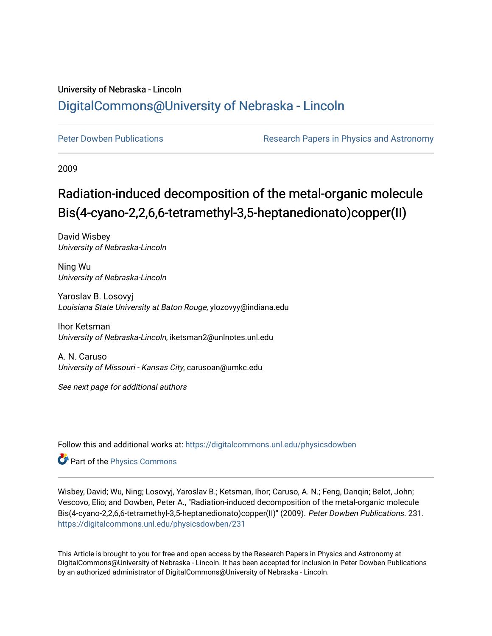## University of Nebraska - Lincoln [DigitalCommons@University of Nebraska - Lincoln](https://digitalcommons.unl.edu/)

[Peter Dowben Publications](https://digitalcommons.unl.edu/physicsdowben) **Research Papers in Physics and Astronomy** 

2009

# Radiation-induced decomposition of the metal-organic molecule Bis(4-cyano-2,2,6,6-tetramethyl-3,5-heptanedionato)copper(II)

David Wisbey University of Nebraska-Lincoln

Ning Wu University of Nebraska-Lincoln

Yaroslav B. Losovyj Louisiana State University at Baton Rouge, ylozovyy@indiana.edu

Ihor Ketsman University of Nebraska-Lincoln, iketsman2@unlnotes.unl.edu

A. N. Caruso University of Missouri - Kansas City, carusoan@umkc.edu

See next page for additional authors

Follow this and additional works at: [https://digitalcommons.unl.edu/physicsdowben](https://digitalcommons.unl.edu/physicsdowben?utm_source=digitalcommons.unl.edu%2Fphysicsdowben%2F231&utm_medium=PDF&utm_campaign=PDFCoverPages) 

Part of the [Physics Commons](http://network.bepress.com/hgg/discipline/193?utm_source=digitalcommons.unl.edu%2Fphysicsdowben%2F231&utm_medium=PDF&utm_campaign=PDFCoverPages)

Wisbey, David; Wu, Ning; Losovyj, Yaroslav B.; Ketsman, Ihor; Caruso, A. N.; Feng, Danqin; Belot, John; Vescovo, Elio; and Dowben, Peter A., "Radiation-induced decomposition of the metal-organic molecule Bis(4-cyano-2,2,6,6-tetramethyl-3,5-heptanedionato)copper(II)" (2009). Peter Dowben Publications. 231. [https://digitalcommons.unl.edu/physicsdowben/231](https://digitalcommons.unl.edu/physicsdowben/231?utm_source=digitalcommons.unl.edu%2Fphysicsdowben%2F231&utm_medium=PDF&utm_campaign=PDFCoverPages) 

This Article is brought to you for free and open access by the Research Papers in Physics and Astronomy at DigitalCommons@University of Nebraska - Lincoln. It has been accepted for inclusion in Peter Dowben Publications by an authorized administrator of DigitalCommons@University of Nebraska - Lincoln.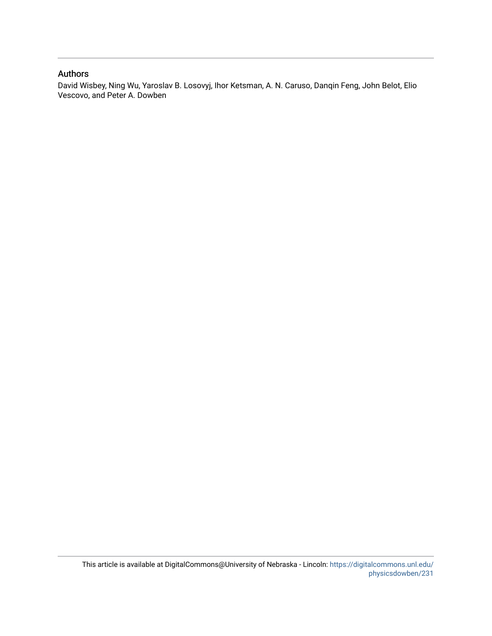### Authors

David Wisbey, Ning Wu, Yaroslav B. Losovyj, Ihor Ketsman, A. N. Caruso, Danqin Feng, John Belot, Elio Vescovo, and Peter A. Dowben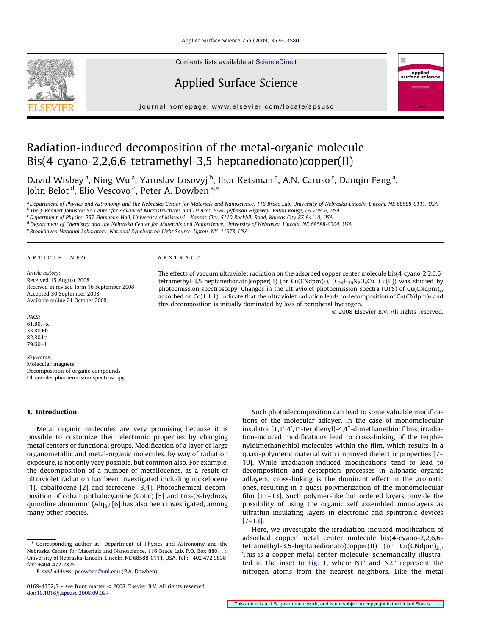Applied Surface Science 255 (2009) 3576–3580



Contents lists available at [ScienceDirect](http://www.sciencedirect.com/science/journal/01694332)

### Applied Surface Science



journal homepage: www.elsevier.com/locate/apsusc

### Radiation-induced decomposition of the metal-organic molecule Bis(4-cyano-2,2,6,6-tetramethyl-3,5-heptanedionato)copper(II)

David Wisbey<sup>a</sup>, Ning Wu<sup>a</sup>, Yaroslav Losovyj <sup>b</sup>, Ihor Ketsman<sup>a</sup>, A.N. Caruso<sup>c</sup>, Danqin Feng<sup>a</sup>, John Belot <sup>d</sup>, Elio Vescovo <sup>e</sup>, Peter A. Dowben <sup>a,\*</sup>

a Department of Physics and Astronomy and the Nebraska Center for Materials and Nanoscience, 116 Brace Lab, University of Nebraska-Lincoln, Lincoln, NE 68588-0111, USA <sup>b</sup> The I. Bennett Johnston Sr. Center for Advanced Microstructures and Devices, 6980 Jefferson Highway, Baton Rouge, LA 70806, USA

<sup>c</sup> Department of Physics, 257 Flarsheim Hall, University of Missouri - Kansas City, 5110 Rockhill Road, Kansas City KS 64110, USA

<sup>d</sup> Department of Chemistry and the Nebraska Center for Materials and Nanoscience, University of Nebraska, Lincoln, NE 68588-0304, USA

<sup>e</sup> Brookhaven National Laboratory, National Synchrotron Light Source, Upton, NY, 11973, USA

#### ARTICLE INFO

Article history: Received 15 August 2008 Received in revised form 16 September 2008 Accepted 30 September 2008 Available online 21 October 2008

PACS:

61.80.-x 33.80.Eh 82.30.Lp 79.60-i

Keywords: Molecular magnets Decomposition of organic compounds Ultraviolet photoemission spectroscopy

#### 1. Introduction

Metal organic molecules are very promising because it is possible to customize their electronic properties by changing metal centers or functional groups. Modification of a layer of large organometallic and metal-organic molecules, by way of radiation exposure, is not only very possible, but common also. For example, the decomposition of a number of metallocenes, as a result of ultraviolet radiation has been investigated including nickelocene [\[1\],](#page-6-0) cobaltocene [\[2\]](#page-6-0) and ferrocene [\[3,4\].](#page-6-0) Photochemical decomposition of cobalt phthalocyanine (CoPc) [\[5\]](#page-6-0) and tris-(8-hydroxy quinoline aluminum  $(Alq_3)$  [\[6\]](#page-6-0) has also been investigated, among many other species.

#### ABSTRACT

The effects of vacuum ultraviolet radiation on the adsorbed copper center molecule bis(4-cyano-2,2,6,6 tetramethyl-3,5-heptanedionato)copper(II) (or Cu(CNdpm)<sub>2</sub>), (C<sub>24</sub>H<sub>36</sub>N<sub>2</sub>O<sub>4</sub>Cu, Cu(II)) was studied by photoemission spectroscopy. Changes in the ultraviolet photoemission spectra (UPS) of Cu(CNdpm)<sub>2</sub>, adsorbed on Co(1 1 1), indicate that the ultraviolet radiation leads to decomposition of Cu(CNdpm)<sub>2</sub> and this decomposition is initially dominated by loss of peripheral hydrogen.

- 2008 Elsevier B.V. All rights reserved.

Such photodecomposition can lead to some valuable modifications of the molecular adlayer. In the case of monomolecular insulator [1,1';4',1"-terphenyl]-4,4"-dimethanethiol films, irradiation-induced modifications lead to cross-linking of the terphenyldimethanethiol molecules within the film, which results in a quasi-polymeric material with improved dielectric properties [\[7–](#page-6-0) [10\]](#page-6-0). While irradiation-induced modifications tend to lead to decomposition and desorption processes in aliphatic organic adlayers, cross-linking is the dominant effect in the aromatic ones, resulting in a quasi-polymerization of the monomolecular film [\[11–13\].](#page-6-0) Such polymer-like but ordered layers provide the possibility of using the organic self assembled monolayers as ultrathin insulating layers in electronic and spintronic devices [\[7–13\]](#page-6-0).

Here, we investigate the irradiation-induced modification of adsorbed copper metal center molecule bis(4-cyano-2,2,6,6 tetramethyl-3,5-heptanedionato)copper(II) (or  $Cu(CNdpm)_2$ ). This is a copper metal center molecule, schematically illustrated in the inset to [Fig. 1,](#page-3-0) where N1' and N2'' represent the nitrogen atoms from the nearest neighbors. Like the metal

This article is a U.S. government work, and is not subject to copyright in the United States

<sup>\*</sup> Corresponding author at: Department of Physics and Astronomy and the Nebraska Center for Materials and Nanoscience, 116 Brace Lab, P.O. Box 880111, University of Nebraska-Lincoln, Lincoln, NE 68588-0111, USA. Tel.: +402 472 9838; fax: +404 472 2879.

E-mail address: [pdowben@unl.edu](mailto:pdowben@unl.edu) (P.A. Dowben).

<sup>0169-4332/\$ –</sup> see front matter © 2008 Elsevier B.V. All rights reserved. doi:[10.1016/j.apsusc.2008.09.097](http://dx.doi.org/10.1016/j.apsusc.2008.09.097)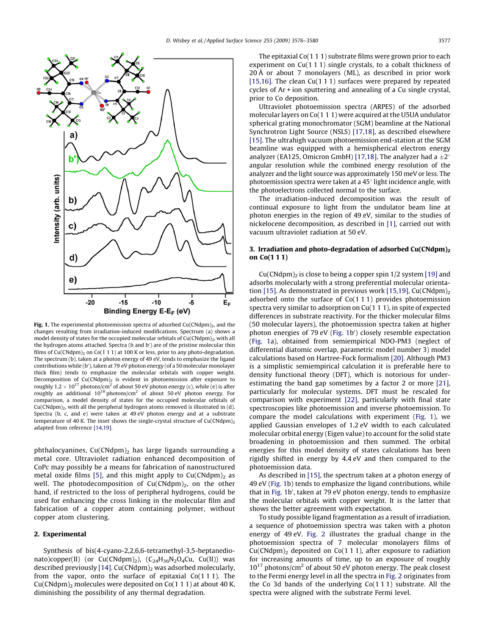<span id="page-3-0"></span>

Fig. 1. The experimental photoemission spectra of adsorbed Cu(CNdpm)<sub>2</sub>, and the changes resulting from irradiation-induced modifications. Spectrum (a) shows a model density of states for the occupied molecular orbitals of Cu(CNdpm)<sub>2</sub>, with all the hydrogen atoms attached. Spectra (b and b') are of the pristine molecular thin films of Cu(CNdpm)<sub>2</sub> on Co(1 1 1) at 100 K or less, prior to any photo-degradation. The spectrum (b), taken at a photon energy of 49 eV, tends to emphasize the ligand contributions while (b'), taken at 79 eV photon energy (of a 50 molecular monolayer thick film) tends to emphasize the molecular orbitals with copper weight. Decomposition of  $Cu(CNdpm)<sub>2</sub>$  is evident in photoemission after exposure to roughly  $1.2 \times 10^{17}$  photons/cm<sup>2</sup> of about 50 eV photon energy (c), while (e) is after roughly an additional  $10^{18}$  photons/cm<sup>2</sup> of about 50 eV photon energy. For comparison, a model density of states for the occupied molecular orbitals of  $Cu(CNdpm)<sub>2</sub>$ , with all the peripheral hydrogen atoms removed is illustrated in (d). Spectra (b, c, and e) were taken at 49 eV photon energy and at a substrate temperature of 40 K. The inset shows the single-crystal structure of  $Cu(CNdpm)<sub>2</sub>$ adapted from reference [\[14,19\].](#page-6-0)

phthalocyanines,  $Cu(CNdpm)<sub>2</sub>$  has large ligands surrounding a metal core. Ultraviolet radiation enhanced decomposition of CoPc may possibly be a means for fabrication of nanostructured metal oxide films [\[5\]](#page-6-0), and this might apply to  $Cu(CNdpm)<sub>2</sub>$  as well. The photodecomposition of  $Cu(CNdpm)<sub>2</sub>$ , on the other hand, if restricted to the loss of peripheral hydrogens, could be used for enhancing the cross linking in the molecular film and fabrication of a copper atom containing polymer, without copper atom clustering.

#### 2. Experimental

Synthesis of bis(4-cyano-2,2,6,6-tetramethyl-3,5-heptanedionato)copper(II) (or  $Cu(CNdpm)_2$ ),  $(C_{24}H_{36}N_2O_4Cu, Cu(II))$  was described previously [\[14\].](#page-6-0)  $Cu(CNdpm)_2$  was adsorbed molecularly, from the vapor, onto the surface of epitaxial Co(1 1 1). The  $Cu(CNdpm)$ <sub>2</sub> molecules were deposited on  $Co(1 1 1)$  at about 40 K, diminishing the possibility of any thermal degradation.

prior to Co deposition. Ultraviolet photoemission spectra (ARPES) of the adsorbed molecular layers on Co(1 1 1) were acquired at the U5UA undulator spherical grating monochromator (SGM) beamline at the National Synchrotron Light Source (NSLS) [\[17,18\],](#page-6-0) as described elsewhere [\[15\]](#page-6-0). The ultrahigh vacuum photoemission end-station at the SGM beamline was equipped with a hemispherical electron energy analyzer (EA125, Omicron GmbH) [\[17,18\]](#page-6-0). The analyzer had a  $\pm 2^{\circ}$ angular resolution while the combined energy resolution of the analyzer and the light source was approximately 150 meV or less. The photoemission spectra were taken at a  $45^{\circ}$  light incidence angle, with the photoelectrons collected normal to the surface.

The irradiation-induced decomposition was the result of continual exposure to light from the undulator beam line at photon energies in the region of 49 eV, similar to the studies of nickelocene decomposition, as described in [\[1\]](#page-6-0), carried out with vacuum ultraviolet radiation at 50 eV.

#### 3. Irradiation and photo-degradation of adsorbed  $Cu(CNdpm)<sub>2</sub>$ on Co(1 1 1)

 $Cu(CNdpm)<sub>2</sub>$  is close to being a copper spin 1/2 system [\[19\]](#page-6-0) and adsorbs molecularly with a strong preferential molecular orienta-tion [\[15\].](#page-6-0) As demonstrated in previous work [\[15,19\]](#page-6-0), Cu(CNdpm)<sub>2</sub> adsorbed onto the surface of Co(1 1 1) provides photoemission spectra very similar to adsorption on Cu(1 1 1), in spite of expected differences in substrate reactivity. For the thicker molecular films (50 molecular layers), the photoemission spectra taken at higher photon energies of 79 eV (Fig. 1b') closely resemble expectation (Fig. 1a), obtained from semiempirical NDO-PM3 (neglect of differential diatomic overlap, parametric model number 3) model calculations based on Hartree-Fock formalism [\[20\].](#page-6-0) Although PM3 is a simplistic semiempirical calculation it is preferable here to density functional theory (DFT), which is notorious for underestimating the band gap sometimes by a factor 2 or more [\[21\],](#page-6-0) particularly for molecular systems. DFT must be rescaled for comparison with experiment [\[22\]](#page-6-0), particularly with final state spectroscopies like photoemission and inverse photoemission. To compare the model calculations with experiment (Fig. 1), we applied Gaussian envelopes of 1.2 eV width to each calculated molecular orbital energy (Eigen value) to account for the solid state broadening in photoemission and then summed. The orbital energies for this model density of states calculations has been rigidly shifted in energy by 4.4 eV and then compared to the photoemission data.

As described in [\[15\],](#page-6-0) the spectrum taken at a photon energy of 49 eV (Fig. 1b) tends to emphasize the ligand contributions, while that in Fig. 1b', taken at 79 eV photon energy, tends to emphasize the molecular orbitals with copper weight. It is the latter that shows the better agreement with expectation.

To study possible ligand fragmentation as a result of irradiation, a sequence of photoemission spectra was taken with a photon energy of 49 eV. [Fig. 2](#page-4-0) illustrates the gradual change in the photoemission spectra of 7 molecular monolayers films of  $Cu(CNdpm)<sub>2</sub>$  deposited on Co(1 1 1), after exposure to radiation for increasing amounts of time, up to an exposure of roughly  $10^{17}$  photons/cm<sup>2</sup> of about 50 eV photon energy. The peak closest to the Fermi energy level in all the spectra in [Fig. 2](#page-4-0) originates from the Co 3d bands of the underlying Co(1 1 1) substrate. All the spectra were aligned with the substrate Fermi level.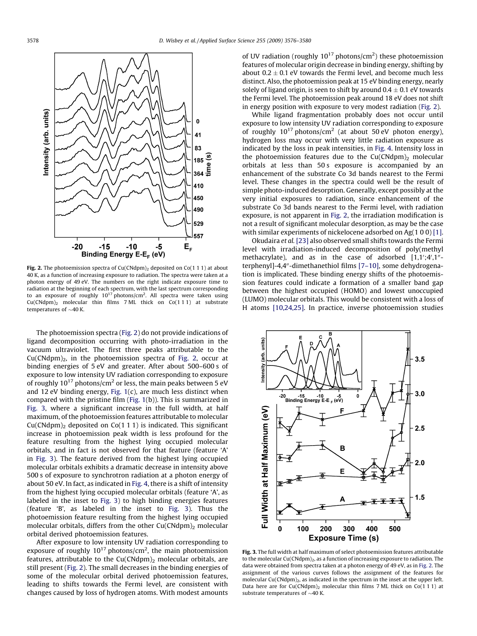<span id="page-4-0"></span>

Fig. 2. The photoemission spectra of Cu(CNdpm)<sub>2</sub> deposited on Co(1 1 1) at about 40 K, as a function of increasing exposure to radiation. The spectra were taken at a photon energy of 49 eV. The numbers on the right indicate exposure time to radiation at the beginning of each spectrum, with the last spectrum corresponding to an exposure of roughly  $10^{17}$  photons/cm<sup>2</sup>. All spectra were taken using  $Cu(CNdpm)<sub>2</sub>$  molecular thin films 7 ML thick on  $Co(111)$  at substrate temperatures of  $\sim$ 40 K.

The photoemission spectra (Fig. 2) do not provide indications of ligand decomposition occurring with photo-irradiation in the vacuum ultraviolet. The first three peaks attributable to the  $Cu(CNdpm)$ , in the photoemission spectra of Fig. 2, occur at binding energies of 5 eV and greater. After about 500–600 s of exposure to low intensity UV radiation corresponding to exposure of roughly  $10^{17}$  photons/cm<sup>2</sup> or less, the main peaks between 5 eV and 12 eV binding energy, Fig.  $1(c)$ , are much less distinct when compared with the pristine film ([Fig. 1](#page-3-0)(b)). This is summarized in Fig. 3, where a significant increase in the full width, at half maximum, of the photoemission features attributable to molecular  $Cu(CNdpm)$ <sub>2</sub> deposited on  $Co(1 1 1)$  is indicated. This significant increase in photoemission peak width is less profound for the feature resulting from the highest lying occupied molecular orbitals, and in fact is not observed for that feature (feature 'A' in Fig. 3). The feature derived from the highest lying occupied molecular orbitals exhibits a dramatic decrease in intensity above 500 s of exposure to synchrotron radiation at a photon energy of about 50 eV. In fact, as indicated in [Fig. 4](#page-5-0), there is a shift of intensity from the highest lying occupied molecular orbitals (feature 'A', as labeled in the inset to Fig. 3) to high binding energies features (feature 'B', as labeled in the inset to Fig. 3). Thus the photoemission feature resulting from the highest lying occupied molecular orbitals, differs from the other  $Cu(CNdpm)$ <sub>2</sub> molecular orbital derived photoemission features.

After exposure to low intensity UV radiation corresponding to exposure of roughly  $10^{17}$  photons/cm<sup>2</sup>, the main photoemission features, attributable to the  $Cu(CNdpm)<sub>2</sub>$  molecular orbitals, are still present (Fig. 2). The small decreases in the binding energies of some of the molecular orbital derived photoemission features, leading to shifts towards the Fermi level, are consistent with changes caused by loss of hydrogen atoms. With modest amounts

of UV radiation (roughly  $10^{17}$  photons/cm<sup>2</sup>) these photoemission features of molecular origin decrease in binding energy, shifting by about  $0.2 \pm 0.1$  eV towards the Fermi level, and become much less distinct. Also, the photoemission peak at 15 eV binding energy, nearly solely of ligand origin, is seen to shift by around  $0.4 \pm 0.1$  eV towards the Fermi level. The photoemission peak around 18 eV does not shift in energy position with exposure to very modest radiation (Fig. 2).

While ligand fragmentation probably does not occur until exposure to low intensity UV radiation corresponding to exposure of roughly  $10^{17}$  photons/cm<sup>2</sup> (at about 50 eV photon energy), hydrogen loss may occur with very little radiation exposure as indicated by the loss in peak intensities, in [Fig. 4.](#page-5-0) Intensity loss in the photoemission features due to the  $Cu(CNdpm)$ <sub>2</sub> molecular orbitals at less than 50 s exposure is accompanied by an enhancement of the substrate Co 3d bands nearest to the Fermi level. These changes in the spectra could well be the result of simple photo-induced desorption. Generally, except possibly at the very initial exposures to radiation, since enhancement of the substrate Co 3d bands nearest to the Fermi level, with radiation exposure, is not apparent in Fig. 2, the irradiation modification is not a result of significant molecular desorption, as may be the case with similar experiments of nickelocene adsorbed on Ag(1 0 0) [\[1\].](#page-6-0)

Okudaira et al. [\[23\]](#page-6-0) also observed small shifts towards the Fermi level with irradiation-induced decomposition of poly(methyl methacrylate), and as in the case of adsorbed  $[1,1';4',1''$ terphenyl]-4,4"-dimethanethiol films [7-10], some dehydrogenation is implicated. These binding energy shifts of the photoemission features could indicate a formation of a smaller band gap between the highest occupied (HOMO) and lowest unoccupied (LUMO) molecular orbitals. This would be consistent with a loss of H atoms [\[10,24,25\].](#page-6-0) In practice, inverse photoemission studies



Fig. 3. The full width at half maximum of select photoemission features attributable to the molecular Cu(CNdpm)<sub>2</sub>, as a function of increasing exposure to radiation. The data were obtained from spectra taken at a photon energy of 49 eV, as in Fig. 2. The assignment of the various curves follows the assignment of the features for molecular Cu(CNdpm)<sub>2</sub>, as indicated in the spectrum in the inset at the upper left. Data here are for  $Cu(CNdpm)<sub>2</sub>$  molecular thin films 7 ML thick on  $Co(1 1 1)$  at substrate temperatures of  $\sim$ 40 K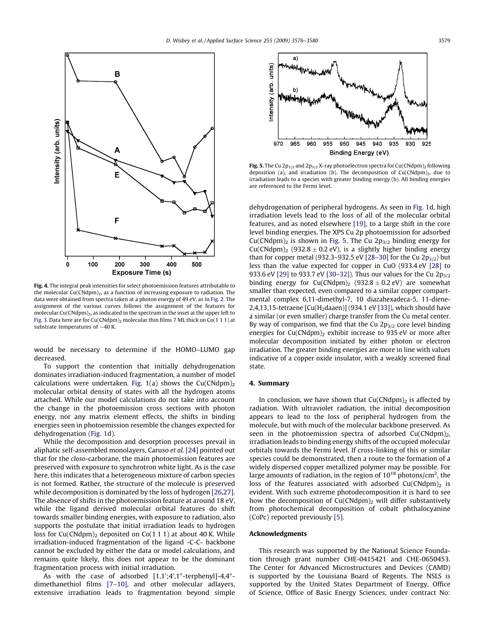<span id="page-5-0"></span>

Fig. 4. The integral peak intensities for select photoemission features attributable to the molecular  $Cu(CNdpm)<sub>2</sub>$ , as a function of increasing exposure to radiation. The data were obtained from spectra taken at a photon energy of 49 eV, as in [Fig. 2](#page-4-0). The assignment of the various curves follows the assignment of the features for molecular Cu(CNdpm) $_2$ , as indicated in the spectrum in the inset at the upper left to [Fig. 3](#page-4-0). Data here are for  $Cu(CNdpm)_2$  molecular thin films 7 ML thick on Co(1 1 1) at substrate temperatures of  $\sim$ 40 K.

would be necessary to determine if the HOMO–LUMO gap decreased.

To support the contention that initially dehydrogenation dominates irradiation-induced fragmentation, a number of model calculations were undertaken. [Fig. 1\(](#page-3-0)a) shows the  $Cu(CNdpm)<sub>2</sub>$ molecular orbital density of states with all the hydrogen atoms attached. While our model calculations do not take into account the change in the photoemission cross sections with photon energy, nor any matrix element effects, the shifts in binding energies seen in photoemission resemble the changes expected for dehydrogenation [\(Fig. 1](#page-3-0)d).

While the decomposition and desorption processes prevail in aliphatic self-assembled monolayers, Caruso et al. [\[24\]](#page-6-0) pointed out that for the closo-carborane, the main photoemission features are preserved with exposure to synchrotron white light. As is the case here, this indicates that a heterogeneous mixture of carbon species is not formed. Rather, the structure of the molecule is preserved while decomposition is dominated by the loss of hydrogen [\[26,27\].](#page-6-0) The absence of shifts in the photoemission feature at around 18 eV, while the ligand derived molecular orbital features do shift towards smaller binding energies, with exposure to radiation, also supports the postulate that initial irradiation leads to hydrogen loss for Cu(CNdpm)<sub>2</sub> deposited on Co(1 1 1) at about 40 K. While irradiation-induced fragmentation of the ligand -C-C- backbone cannot be excluded by either the data or model calculations, and remains quite likely, this does not appear to be the dominant fragmentation process with initial irradiation.

As with the case of adsorbed [1,1';4',1"-terphenyl]-4,4"dimethanethiol films [\[7–10\],](#page-6-0) and other molecular adlayers, extensive irradiation leads to fragmentation beyond simple



Fig. 5. The Cu  $2p_{1/2}$  and  $2p_{3/2}$  X-ray photoelectron spectra for Cu(CNdpm)<sub>2</sub> following deposition (a), and irradiation (b). The decomposition of  $Cu(CNdpm)_{2}$ , due to irradiation leads to a species with greater binding energy (b). All binding energies are referenced to the Fermi level.

dehydrogenation of peripheral hydrogens. As seen in [Fig. 1](#page-3-0)d, high irradiation levels lead to the loss of all of the molecular orbital features, and as noted elsewhere [\[19\],](#page-6-0) to a large shift in the core level binding energies. The XPS Cu 2p photoemission for adsorbed  $Cu(CNdpm)<sub>2</sub>$  is shown in Fig. 5. The Cu 2 $p<sub>3/2</sub>$  binding energy for  $Cu(CNdpm)<sub>2</sub>$  (932.8  $\pm$  0.2 eV), is a slightly higher binding energy than for copper metal (932.3–932.5 eV [\[28–30\]](#page-6-0) for the Cu  $2p_{3/2}$ ) but less than the value expected for copper in CuO (933.4 eV [\[28\]](#page-6-0) to 933.6 eV [\[29\]](#page-6-0) to 933.7 eV [30-32]). Thus our values for the Cu  $2p_{3/2}$ binding energy for  $Cu(CNdpm)_2$  (932.8  $\pm$  0.2 eV) are somewhat smaller than expected, even compared to a similar copper compartmental complex 6,11-dimethyl-7, 10 diazahexadeca-5, 11-diene-2,4,13,15-tetraene  $\left[ Cu(H_2daaen) \right]$  (934.1 eV [\[33\]](#page-6-0)), which should have a similar (or even smaller) charge transfer from the Cu metal center. By way of comparison, we find that the Cu  $2p_{3/2}$  core level binding energies for  $Cu(CNdpm)$ <sub>2</sub> exhibit increase to 935 eV or more after molecular decomposition initiated by either photon or electron irradiation. The greater binding energies are more in line with values indicative of a copper oxide insulator, with a weakly screened final state.

#### 4. Summary

In conclusion, we have shown that  $Cu(CNdpm)<sub>2</sub>$  is affected by radiation. With ultraviolet radiation, the initial decomposition appears to lead to the loss of peripheral hydrogen from the molecule, but with much of the molecular backbone preserved. As seen in the photoemission spectra of adsorbed  $Cu(CNdpm)<sub>2</sub>$ , irradiation leads to binding energy shifts of the occupied molecular orbitals towards the Fermi level. If cross-linking of this or similar species could be demonstrated, then a route to the formation of a widely dispersed copper metallized polymer may be possible. For large amounts of radiation, in the region of  $10^{18}$  photons/cm<sup>2</sup>, the loss of the features associated with adsorbed  $Cu(CNdpm)$ <sub>2</sub> is evident. With such extreme photodecomposition it is hard to see how the decomposition of  $Cu(CNdpm)_2$  will differ substantively from photochemical decomposition of cobalt phthalocyanine (CoPc) reported previously [\[5\]](#page-6-0).

#### Acknowledgments

This research was supported by the National Science Foundation through grant number CHE-0415421 and CHE-0650453. The Center for Advanced Microstructures and Devices (CAMD) is supported by the Louisiana Board of Regents. The NSLS is supported by the United States Department of Energy, Office of Science, Office of Basic Energy Sciences, under contract No: